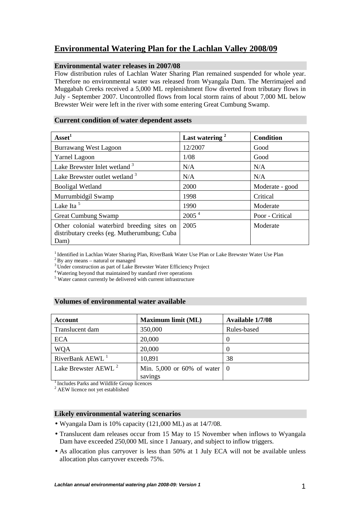# **Environmental Watering Plan for the Lachlan Valley 2008/09**

## **Environmental water releases in 2007/08**

Flow distribution rules of Lachlan Water Sharing Plan remained suspended for whole year. Therefore no environmental water was released from Wyangala Dam. The Merrimajeel and Muggabah Creeks received a 5,000 ML replenishment flow diverted from tributary flows in July - September 2007. Uncontrolled flows from local storm rains of about 7,000 ML below Brewster Weir were left in the river with some entering Great Cumbung Swamp.

## **Current condition of water dependent assets**

| Asset <sup>1</sup>                                                                                | Last watering <sup>2</sup> | <b>Condition</b> |
|---------------------------------------------------------------------------------------------------|----------------------------|------------------|
| <b>Burrawang West Lagoon</b>                                                                      | 12/2007                    | Good             |
| <b>Yarnel Lagoon</b>                                                                              | 1/08                       | Good             |
| Lake Brewster Inlet wetland <sup>3</sup>                                                          | N/A                        | N/A              |
| Lake Brewster outlet wetland <sup>3</sup>                                                         | N/A                        | N/A              |
| <b>Booligal Wetland</b>                                                                           | 2000                       | Moderate - good  |
| Murrumbidgil Swamp                                                                                | 1998                       | Critical         |
| Lake Ita <sup>5</sup>                                                                             | 1990                       | Moderate         |
| <b>Great Cumbung Swamp</b>                                                                        | 2005 <sup>4</sup>          | Poor - Critical  |
| Other colonial waterbird breeding sites on<br>distributary creeks (eg. Mutherumbung; Cuba<br>Dam) | 2005                       | Moderate         |

<sup>1</sup> Identified in Lachlan Water Sharing Plan, RiverBank Water Use Plan or Lake Brewster Water Use Plan

 $2$ By any means – natural or managed

<sup>3</sup>Under construction as part of Lake Brewster Water Efficiency Project

<sup>4</sup>Watering beyond that maintained by standard river operations

5 Water cannot currently be delivered with current infrastructure

## **Volumes of environmental water available**

| <b>Account</b>                  | <b>Maximum limit (ML)</b>                               | Available 1/7/08 |
|---------------------------------|---------------------------------------------------------|------------------|
| Translucent dam                 | 350,000                                                 | Rules-based      |
| <b>ECA</b>                      | 20,000                                                  | O                |
| <b>WQA</b>                      | 20,000                                                  |                  |
| RiverBank AEWL <sup>1</sup>     | 10,891                                                  | 38               |
| Lake Brewster AEWL <sup>2</sup> | Min. 5,000 or 60% of water $\vert 0 \rangle$<br>savings |                  |

<sup>1</sup> Includes Parks and Wildlife Group licences

<sup>2</sup> AEW licence not yet established

## **Likely environmental watering scenarios**

- Wyangala Dam is 10% capacity (121,000 ML) as at 14/7/08.
- Translucent dam releases occur from 15 May to 15 November when inflows to Wyangala Dam have exceeded 250,000 ML since 1 January, and subject to inflow triggers.
- As allocation plus carryover is less than 50% at 1 July ECA will not be available unless allocation plus carryover exceeds 75%.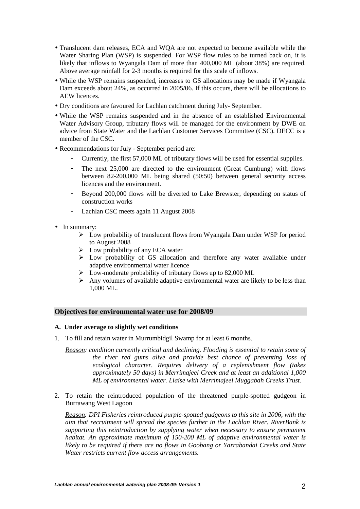- Translucent dam releases, ECA and WQA are not expected to become available while the Water Sharing Plan (WSP) is suspended. For WSP flow rules to be turned back on, it is likely that inflows to Wyangala Dam of more than 400,000 ML (about 38%) are required. Above average rainfall for 2-3 months is required for this scale of inflows.
- While the WSP remains suspended, increases to GS allocations may be made if Wyangala Dam exceeds about 24%, as occurred in 2005/06. If this occurs, there will be allocations to AEW licences.
- Dry conditions are favoured for Lachlan catchment during July- September.
- While the WSP remains suspended and in the absence of an established Environmental Water Advisory Group, tributary flows will be managed for the environment by DWE on advice from State Water and the Lachlan Customer Services Committee (CSC). DECC is a member of the CSC.
- Recommendations for July September period are:
	- Currently, the first 57,000 ML of tributary flows will be used for essential supplies.
	- The next 25,000 are directed to the environment (Great Cumbung) with flows between 82-200,000 ML being shared (50:50) between general security access licences and the environment.
	- Beyond 200,000 flows will be diverted to Lake Brewster, depending on status of construction works
	- Lachlan CSC meets again 11 August 2008
- In summary:
	- Low probability of translucent flows from Wyangala Dam under WSP for period to August 2008
	- $\triangleright$  Low probability of any ECA water
	- $\triangleright$  Low probability of GS allocation and therefore any water available under adaptive environmental water licence
	- $\triangleright$  Low-moderate probability of tributary flows up to 82,000 ML
	- $\triangleright$  Any volumes of available adaptive environmental water are likely to be less than 1,000 ML.

## **Objectives for environmental water use for 2008/09**

## **A. Under average to slightly wet conditions**

- 1. To fill and retain water in Murrumbidgil Swamp for at least 6 months.
	- *Reason: condition currently critical and declining. Flooding is essential to retain some of the river red gums alive and provide best chance of preventing loss of ecological character. Requires delivery of a replenishment flow (takes approximately 50 days) in Merrimajeel Creek and at least an additional 1,000 ML of environmental water. Liaise with Merrimajeel Muggabah Creeks Trust.*
- 2. To retain the reintroduced population of the threatened purple-spotted gudgeon in Burrawang West Lagoon

*Reason: DPI Fisheries reintroduced purple-spotted gudgeons to this site in 2006, with the aim that recruitment will spread the species further in the Lachlan River. RiverBank is supporting this reintroduction by supplying water when necessary to ensure permanent habitat. An approximate maximum of 150-200 ML of adaptive environmental water is likely to be required if there are no flows in Goobang or Yarrabandai Creeks and State Water restricts current flow access arrangements.*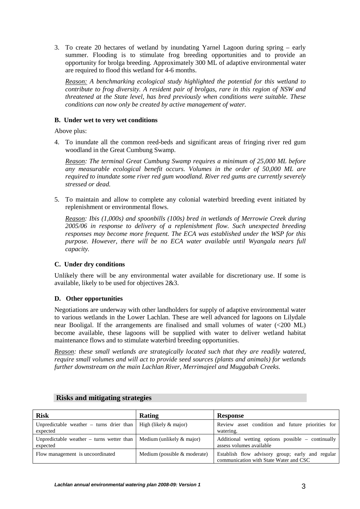3. To create 20 hectares of wetland by inundating Yarnel Lagoon during spring – early summer. Flooding is to stimulate frog breeding opportunities and to provide an opportunity for brolga breeding. Approximately 300 ML of adaptive environmental water are required to flood this wetland for 4-6 months.

*Reason: A benchmarking ecological study highlighted the potential for this wetland to contribute to frog diversity. A resident pair of brolgas, rare in this region of NSW and threatened at the State level, has bred previously when conditions were suitable. These conditions can now only be created by active management of water.* 

## **B. Under wet to very wet conditions**

Above plus:

4. To inundate all the common reed-beds and significant areas of fringing river red gum woodland in the Great Cumbung Swamp.

*Reason: The terminal Great Cumbung Swamp requires a minimum of 25,000 ML before any measurable ecological benefit occurs. Volumes in the order of 50,000 ML are required to inundate some river red gum woodland. River red gums are currently severely stressed or dead.* 

5. To maintain and allow to complete any colonial waterbird breeding event initiated by replenishment or environmental flows.

*Reason: Ibis (1,000s) and spoonbills (100s) bred in wetlands of Merrowie Creek during 2005/06 in response to delivery of a replenishment flow. Such unexpected breeding responses may become more frequent. The ECA was established under the WSP for this purpose. However, there will be no ECA water available until Wyangala nears full capacity.* 

## **C. Under dry conditions**

Unlikely there will be any environmental water available for discretionary use. If some is available, likely to be used for objectives 2&3.

## **D. Other opportunities**

Negotiations are underway with other landholders for supply of adaptive environmental water to various wetlands in the Lower Lachlan. These are well advanced for lagoons on Lilydale near Booligal. If the arrangements are finalised and small volumes of water (<200 ML) become available, these lagoons will be supplied with water to deliver wetland habitat maintenance flows and to stimulate waterbird breeding opportunities.

*Reason: these small wetlands are strategically located such that they are readily watered, require small volumes and will act to provide seed sources (plants and animals) for wetlands further downstream on the main Lachlan River, Merrimajeel and Muggabah Creeks.* 

| <b>Risk</b>                                             | Rating                         | Response                                                                                   |
|---------------------------------------------------------|--------------------------------|--------------------------------------------------------------------------------------------|
| Unpredictable weather $-$ turns drier than<br>expected  | High (likely $\&$ major)       | Review asset condition and future priorities for<br>watering.                              |
| Unpredictable weather $-$ turns wetter than<br>expected | Medium (unlikely $\&$ major)   | Additional wetting options possible – continually<br>assess volumes available              |
| Flow management is uncoordinated                        | Medium (possible $&$ moderate) | Establish flow advisory group; early and regular<br>communication with State Water and CSC |

## **Risks and mitigating strategies**